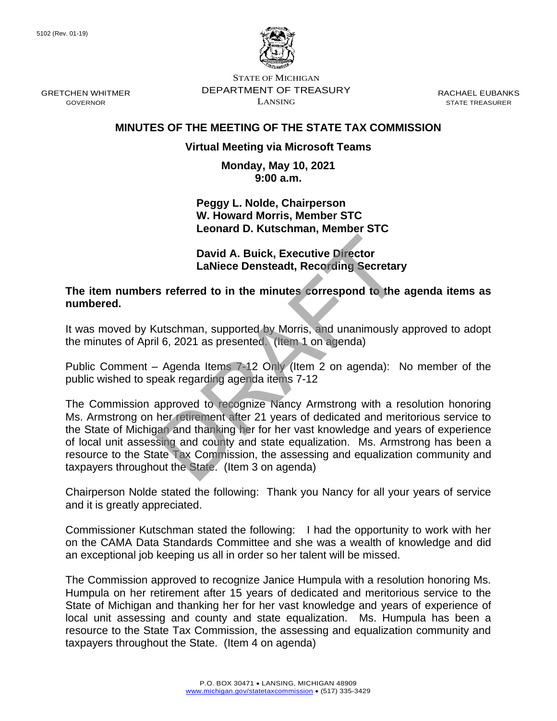GRETCHEN WHITMER GOVERNOR



STATE OF MICHIGAN DEPARTMENT OF TREASURY LANSING

RACHAEL EUBANKS STATE TREASURER

# **MINUTES OF THE MEETING OF THE STATE TAX COMMISSION**

# **Virtual Meeting via Microsoft Teams**

**Monday, May 10, 2021 9:00 a.m.**

**Peggy L. Nolde, Chairperson W. Howard Morris, Member STC Leonard D. Kutschman, Member STC**

**David A. Buick, Executive Director LaNiece Densteadt, Recording Secretary**

**The item numbers referred to in the minutes correspond to the agenda items as numbered.**

It was moved by Kutschman, supported by Morris, and unanimously approved to adopt the minutes of April 6, 2021 as presented. (Item 1 on agenda)

Public Comment – Agenda Items 7-12 Only (Item 2 on agenda): No member of the public wished to speak regarding agenda items 7-12

The Commission approved to recognize Nancy Armstrong with a resolution honoring Ms. Armstrong on her retirement after 21 years of dedicated and meritorious service to the State of Michigan and thanking her for her vast knowledge and years of experience of local unit assessing and county and state equalization. Ms. Armstrong has been a resource to the State Tax Commission, the assessing and equalization community and taxpayers throughout the State. (Item 3 on agenda) David A. Buick, Executive Director<br>LaNiece Densteadt, Recording Secretary<br>s referred to in the minutes correspond to the<br>Lutschman, supported by Morris, and unanimously<br>il 6, 2021 as presented. (Item 1 on agenda)<br>- Agenda

Chairperson Nolde stated the following: Thank you Nancy for all your years of service and it is greatly appreciated.

Commissioner Kutschman stated the following: I had the opportunity to work with her on the CAMA Data Standards Committee and she was a wealth of knowledge and did an exceptional job keeping us all in order so her talent will be missed.

The Commission approved to recognize Janice Humpula with a resolution honoring Ms. Humpula on her retirement after 15 years of dedicated and meritorious service to the State of Michigan and thanking her for her vast knowledge and years of experience of local unit assessing and county and state equalization. Ms. Humpula has been a resource to the State Tax Commission, the assessing and equalization community and taxpayers throughout the State. (Item 4 on agenda)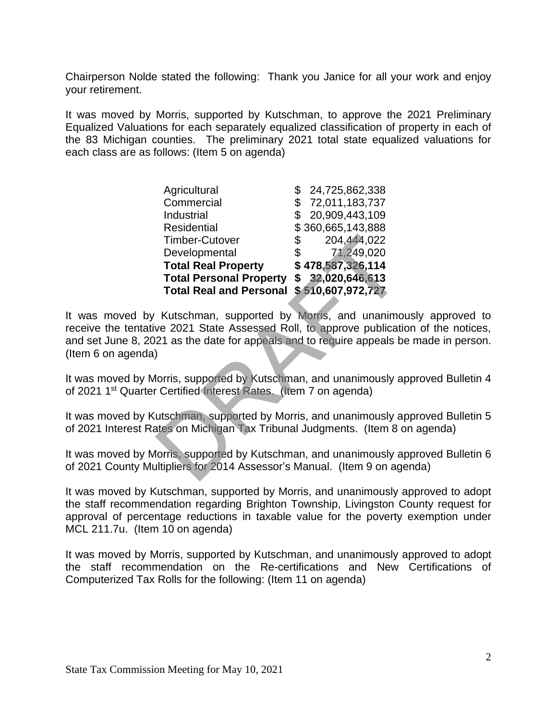Chairperson Nolde stated the following: Thank you Janice for all your work and enjoy your retirement.

It was moved by Morris, supported by Kutschman, to approve the 2021 Preliminary Equalized Valuations for each separately equalized classification of property in each of the 83 Michigan counties. The preliminary 2021 total state equalized valuations for each class are as follows: (Item 5 on agenda)

| Agricultural                                                                                                                                            | \$24,725,862,338  |
|---------------------------------------------------------------------------------------------------------------------------------------------------------|-------------------|
| Commercial                                                                                                                                              | \$72,011,183,737  |
| Industrial                                                                                                                                              | \$20,909,443,109  |
| Residential                                                                                                                                             | \$360,665,143,888 |
| <b>Timber-Cutover</b>                                                                                                                                   | 204,444,022<br>\$ |
| Developmental                                                                                                                                           | \$<br>71,249,020  |
| <b>Total Real Property</b>                                                                                                                              | \$478,587,326,114 |
| Total Personal Property \$ 32,020,646,613                                                                                                               |                   |
| <b>Total Real and Personal</b>                                                                                                                          | \$510,607,972,727 |
| Kutschman, supported by Morris, and unanimo<br>ve 2021 State Assessed Roll, to approve publicati<br>21 as the date for appeals and to require appeals b |                   |
| lorris, supported by Kutschman, and unanimously a<br>Certified Interest Rates. (Item 7 on agenda)                                                       |                   |
| utschman, supported by Morris, and unanimously a<br>ates on Michigan Tax Tribunal Judgments. (Item 8 o                                                  |                   |
| lorris, supported by Kutschman, and unanimously a<br>ultipliers for 2014 Assessor's Manual. (Item 9 on ag                                               |                   |

It was moved by Kutschman, supported by Morris, and unanimously approved to receive the tentative 2021 State Assessed Roll, to approve publication of the notices, and set June 8, 2021 as the date for appeals and to require appeals be made in person. (Item 6 on agenda)

It was moved by Morris, supported by Kutschman, and unanimously approved Bulletin 4 of 2021 1st Quarter Certified Interest Rates. (Item 7 on agenda)

It was moved by Kutschman, supported by Morris, and unanimously approved Bulletin 5 of 2021 Interest Rates on Michigan Tax Tribunal Judgments. (Item 8 on agenda)

It was moved by Morris, supported by Kutschman, and unanimously approved Bulletin 6 of 2021 County Multipliers for 2014 Assessor's Manual. (Item 9 on agenda)

It was moved by Kutschman, supported by Morris, and unanimously approved to adopt the staff recommendation regarding Brighton Township, Livingston County request for approval of percentage reductions in taxable value for the poverty exemption under MCL 211.7u. (Item 10 on agenda)

It was moved by Morris, supported by Kutschman, and unanimously approved to adopt the staff recommendation on the Re-certifications and New Certifications of Computerized Tax Rolls for the following: (Item 11 on agenda)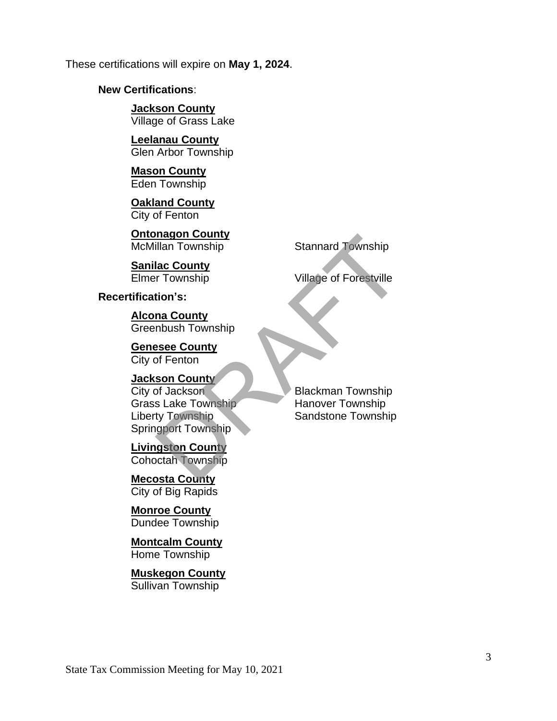These certifications will expire on **May 1, 2024**.

# **New Certifications**:

**Jackson County** Village of Grass Lake

**Leelanau County** Glen Arbor Township

**Mason County** Eden Township

**Oakland County** City of Fenton

**Ontonagon County**<br>McMillan Township

**Sanilac County**

### **Recertification's:**

**Alcona County** Greenbush Township

**Genesee County** City of Fenton

**Jackson County City of Jackson** Blackman Township Grass Lake Township Hanover Township Liberty Township Sandstone Township Springport Township Magion County<br>
Illan Township<br>
Is County<br>
Township<br>
Township<br>
Stannard Township<br>
Village of Forestville<br>
tion's:<br>
<u>na County</u><br>
Dese County<br>
of Jackson<br>
Stake Township<br>
Hanover Township<br>
Hanover Township<br>
Hanover Township<br>

**Livingston County** Cohoctah Township

**Mecosta County** City of Big Rapids

**Monroe County** Dundee Township

**Montcalm County** Home Township

**Muskegon County** Sullivan Township

Stannard Township

**Elmer Township Contract Contract Contract Village of Forestville**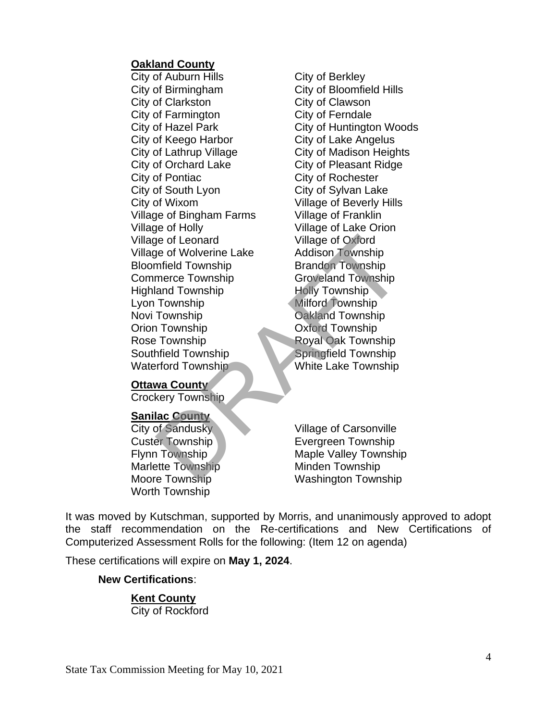#### **Oakland County**

City of Auburn Hills **City of Berkley** City of Birmingham City of Bloomfield Hills City of Clarkston City of Clawson City of Farmington City of Ferndale City of Keego Harbor City of Lake Angelus City of Lathrup Village City of Madison Heights City of Orchard Lake City of Pleasant Ridge City of Pontiac City of Rochester City of South Lyon City of Sylvan Lake City of Wixom Village of Beverly Hills Village of Bingham Farms Village of Franklin Village of Holly Village of Lake Orion Village of Leonard Village of Oxford Village of Wolverine Lake Addison Township Bloomfield Township Brandon Township Commerce Township Groveland Township Highland Township Holly Township Lyon Township Milford Township Novi Township **Oakland Township** Orion Township Oxford Township Rose Township Royal Oak Township Southfield Township Springfield Township Waterford Township White Lake Township

City of Hazel Park City of Huntington Woods The County of Sandusky<br>
The Township<br>
Township<br>
Township<br>
Township<br>
Township<br>
Township<br>
Township<br>
Township<br>
Township<br>
Township<br>
Township<br>
Milford Township<br>
DRAFT DOMAGING TOWNShip<br>
Royal Oak Township<br>
Royal Oak Township<br>
R

#### **Ottawa County**

Crockery Township

# **Sanilac County**

Marlette Township Minden Township Worth Township

City of Sandusky Village of Carsonville Custer Township **Evergreen Township** Flynn Township Maple Valley Township Moore Township Washington Township

It was moved by Kutschman, supported by Morris, and unanimously approved to adopt the staff recommendation on the Re-certifications and New Certifications of Computerized Assessment Rolls for the following: (Item 12 on agenda)

These certifications will expire on **May 1, 2024**.

# **New Certifications**:

**Kent County** City of Rockford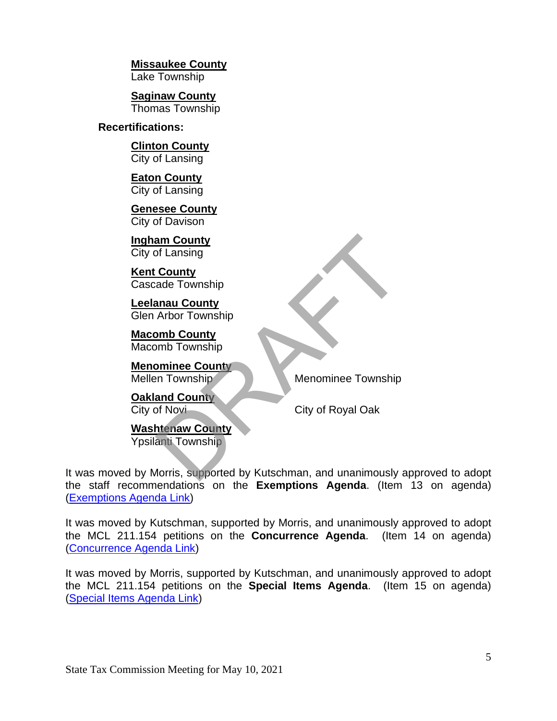**Missaukee County**

Lake Township

**Saginaw County** Thomas Township

# **Recertifications:**

**Clinton County** City of Lansing

**Eaton County** City of Lansing

**Genesee County** City of Davison

**Ingham County** City of Lansing

**Kent County** Cascade Township

**Leelanau County** Glen Arbor Township

**Macomb County** Macomb Township

**Menominee County**

**Oakland County**

Mellen Township Menominee Township

City of Novi<sup>2</sup> City of Royal Oak

**Washtenaw County** Ypsilanti Township

It was moved by Morris, supported by Kutschman, and unanimously approved to adopt the staff recommendations on the **Exemptions Agenda**. (Item 13 on agenda) [\(Exemptions Agenda Link\)](https://www.michigan.gov/documents/treasury/Item_13_Exemptions_Agenda_724086_7.pdf) an County<br>
of Lansing<br>
County<br>
and County<br>
Arbor Township<br>
mb County<br>
mb Township<br>
man County<br>
in Township<br>
and County<br>
of Novi<br>
Menominee Township<br>
City of Royal Oak<br>
htenaw County<br>
Menominee Township<br>
City of Royal Oak<br>

It was moved by Kutschman, supported by Morris, and unanimously approved to adopt the MCL 211.154 petitions on the **Concurrence Agenda**. (Item 14 on agenda) [\(Concurrence Agenda Link\)](https://www.michigan.gov/documents/treasury/Item_14_154_Concurrence_Agenda_724088_7.pdf)

It was moved by Morris, supported by Kutschman, and unanimously approved to adopt the MCL 211.154 petitions on the **Special Items Agenda**. (Item 15 on agenda) [\(Special Items Agenda Link\)](https://www.michigan.gov/documents/treasury/Item_15_154_Special_Items_Agenda_724089_7.pdf)